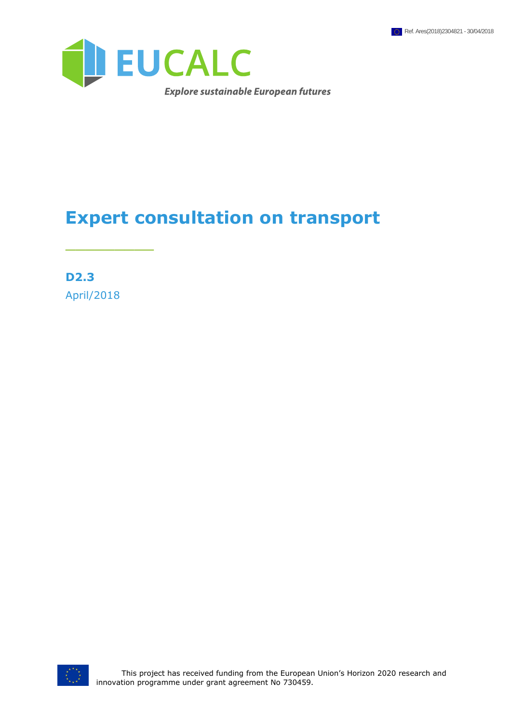

## **Expert consultation on transport**

**D2.3** April/2018

\_\_\_\_\_\_\_\_\_

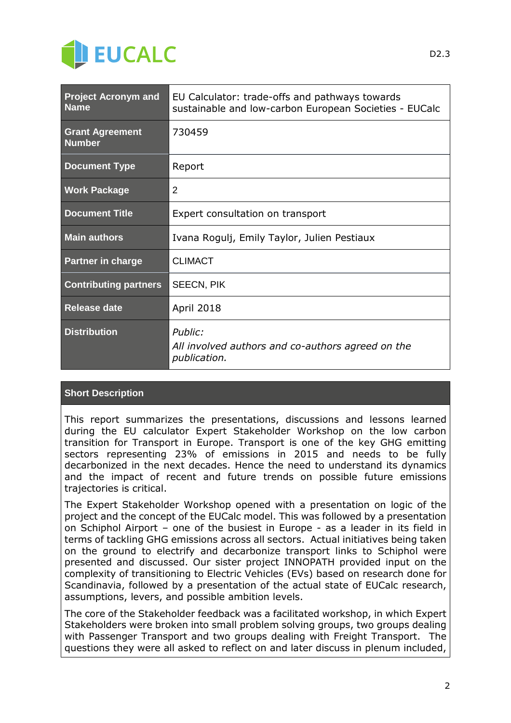

| <b>Project Acronym and</b><br><b>Name</b> | EU Calculator: trade-offs and pathways towards<br>sustainable and low-carbon European Societies - EUCalc |
|-------------------------------------------|----------------------------------------------------------------------------------------------------------|
| <b>Grant Agreement</b><br><b>Number</b>   | 730459                                                                                                   |
| <b>Document Type</b>                      | Report                                                                                                   |
| <b>Work Package</b>                       | 2                                                                                                        |
| <b>Document Title</b>                     | Expert consultation on transport                                                                         |
| <b>Main authors</b>                       | Ivana Rogulj, Emily Taylor, Julien Pestiaux                                                              |
| <b>Partner in charge</b>                  | <b>CLIMACT</b>                                                                                           |
| <b>Contributing partners</b>              | <b>SEECN, PIK</b>                                                                                        |
| <b>Release date</b>                       | April 2018                                                                                               |
| <b>Distribution</b>                       | Public:<br>All involved authors and co-authors agreed on the<br>publication.                             |

#### **Short Description**

This report summarizes the presentations, discussions and lessons learned during the EU calculator Expert Stakeholder Workshop on the low carbon transition for Transport in Europe. Transport is one of the key GHG emitting sectors representing 23% of emissions in 2015 and needs to be fully decarbonized in the next decades. Hence the need to understand its dynamics and the impact of recent and future trends on possible future emissions trajectories is critical.

The Expert Stakeholder Workshop opened with a presentation on logic of the project and the concept of the EUCalc model. This was followed by a presentation on Schiphol Airport – one of the busiest in Europe - as a leader in its field in terms of tackling GHG emissions across all sectors. Actual initiatives being taken on the ground to electrify and decarbonize transport links to Schiphol were presented and discussed. Our sister project INNOPATH provided input on the complexity of transitioning to Electric Vehicles (EVs) based on research done for Scandinavia, followed by a presentation of the actual state of EUCalc research, assumptions, levers, and possible ambition levels.

The core of the Stakeholder feedback was a facilitated workshop, in which Expert Stakeholders were broken into small problem solving groups, two groups dealing with Passenger Transport and two groups dealing with Freight Transport. The questions they were all asked to reflect on and later discuss in plenum included,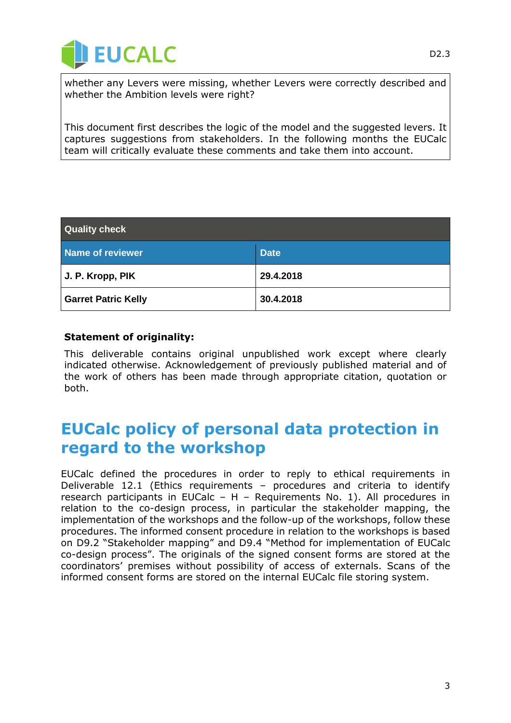

whether any Levers were missing, whether Levers were correctly described and whether the Ambition levels were right?

This document first describes the logic of the model and the suggested levers. It captures suggestions from stakeholders. In the following months the EUCalc team will critically evaluate these comments and take them into account.

| <b>Quality check</b>       |             |
|----------------------------|-------------|
| Name of reviewer           | <b>Date</b> |
| J. P. Kropp, PIK           | 29.4.2018   |
| <b>Garret Patric Kelly</b> | 30.4.2018   |

#### **Statement of originality:**

This deliverable contains original unpublished work except where clearly indicated otherwise. Acknowledgement of previously published material and of the work of others has been made through appropriate citation, quotation or both.

## <span id="page-2-0"></span>**EUCalc policy of personal data protection in regard to the workshop**

EUCalc defined the procedures in order to reply to ethical requirements in Deliverable 12.1 (Ethics requirements – procedures and criteria to identify research participants in EUCalc – H – Requirements No. 1). All procedures in relation to the co-design process, in particular the stakeholder mapping, the implementation of the workshops and the follow-up of the workshops, follow these procedures. The informed consent procedure in relation to the workshops is based on D9.2 "Stakeholder mapping" and D9.4 "Method for implementation of EUCalc co-design process". The originals of the signed consent forms are stored at the coordinators' premises without possibility of access of externals. Scans of the informed consent forms are stored on the internal EUCalc file storing system.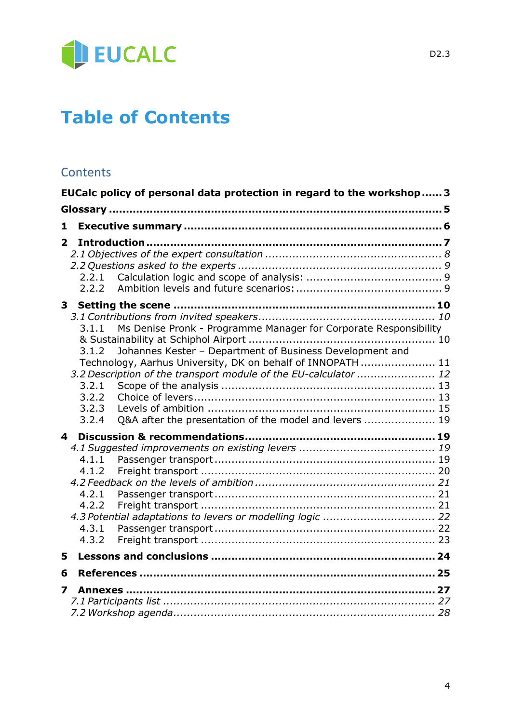

## **Table of Contents**

### **Contents**

|                         | EUCalc policy of personal data protection in regard to the workshop 3                                                           |  |
|-------------------------|---------------------------------------------------------------------------------------------------------------------------------|--|
|                         |                                                                                                                                 |  |
| 1                       |                                                                                                                                 |  |
| $\overline{2}$          |                                                                                                                                 |  |
|                         |                                                                                                                                 |  |
|                         |                                                                                                                                 |  |
|                         | 2.2.1                                                                                                                           |  |
|                         | 2.2.2                                                                                                                           |  |
| 3 <sup>1</sup>          |                                                                                                                                 |  |
|                         |                                                                                                                                 |  |
|                         | Ms Denise Pronk - Programme Manager for Corporate Responsibility<br>3.1.1                                                       |  |
|                         |                                                                                                                                 |  |
|                         | Johannes Kester - Department of Business Development and<br>3.1.2<br>Technology, Aarhus University, DK on behalf of INNOPATH 11 |  |
|                         | 3.2 Description of the transport module of the EU-calculator  12                                                                |  |
|                         | 3.2.1                                                                                                                           |  |
|                         | 3.2.2                                                                                                                           |  |
|                         | 3.2.3                                                                                                                           |  |
|                         | Q&A after the presentation of the model and levers  19<br>3.2.4                                                                 |  |
| $\overline{\mathbf{4}}$ |                                                                                                                                 |  |
|                         |                                                                                                                                 |  |
|                         | 4.1.1<br>4.1.2                                                                                                                  |  |
|                         |                                                                                                                                 |  |
|                         | 4.2.1                                                                                                                           |  |
|                         | 4.2.2                                                                                                                           |  |
|                         | 4.3 Potential adaptations to levers or modelling logic  22                                                                      |  |
|                         | 4.3.1                                                                                                                           |  |
|                         | 4.3.2                                                                                                                           |  |
| 5                       |                                                                                                                                 |  |
| 6                       |                                                                                                                                 |  |
| $\overline{\mathbf{z}}$ |                                                                                                                                 |  |
|                         |                                                                                                                                 |  |
|                         |                                                                                                                                 |  |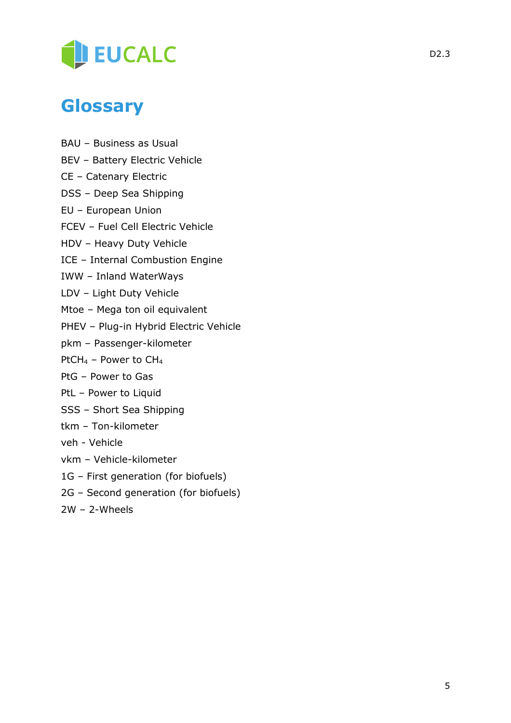

## <span id="page-4-0"></span>**Glossary**

- BAU Business as Usual
- BEV Battery Electric Vehicle
- CE Catenary Electric
- DSS Deep Sea Shipping
- EU European Union
- FCEV Fuel Cell Electric Vehicle
- HDV Heavy Duty Vehicle
- ICE Internal Combustion Engine
- IWW Inland WaterWays
- LDV Light Duty Vehicle
- Mtoe Mega ton oil equivalent
- PHEV Plug-in Hybrid Electric Vehicle
- pkm Passenger-kilometer
- PtCH<sub>4</sub> Power to CH<sub>4</sub>
- PtG Power to Gas
- PtL Power to Liquid
- SSS Short Sea Shipping
- tkm Ton-kilometer
- veh Vehicle
- vkm Vehicle-kilometer
- 1G First generation (for biofuels)
- 2G Second generation (for biofuels)
- 2W 2-Wheels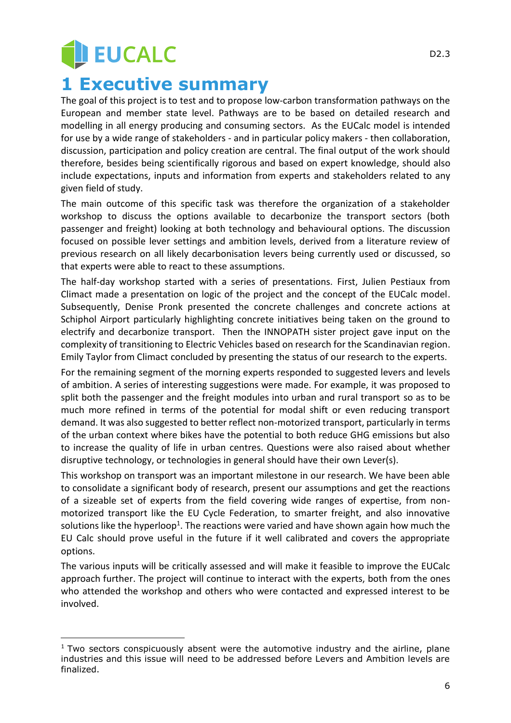## **JEUCALC 1 Executive summary**

<span id="page-5-0"></span>The goal of this project is to test and to propose low-carbon transformation pathways on the European and member state level. Pathways are to be based on detailed research and modelling in all energy producing and consuming sectors. As the EUCalc model is intended for use by a wide range of stakeholders - and in particular policy makers - then collaboration, discussion, participation and policy creation are central. The final output of the work should therefore, besides being scientifically rigorous and based on expert knowledge, should also include expectations, inputs and information from experts and stakeholders related to any given field of study.

The main outcome of this specific task was therefore the organization of a stakeholder workshop to discuss the options available to decarbonize the transport sectors (both passenger and freight) looking at both technology and behavioural options. The discussion focused on possible lever settings and ambition levels, derived from a literature review of previous research on all likely decarbonisation levers being currently used or discussed, so that experts were able to react to these assumptions.

The half-day workshop started with a series of presentations. First, Julien Pestiaux from Climact made a presentation on logic of the project and the concept of the EUCalc model. Subsequently, Denise Pronk presented the concrete challenges and concrete actions at Schiphol Airport particularly highlighting concrete initiatives being taken on the ground to electrify and decarbonize transport. Then the INNOPATH sister project gave input on the complexity of transitioning to Electric Vehicles based on research for the Scandinavian region. Emily Taylor from Climact concluded by presenting the status of our research to the experts.

For the remaining segment of the morning experts responded to suggested levers and levels of ambition. A series of interesting suggestions were made. For example, it was proposed to split both the passenger and the freight modules into urban and rural transport so as to be much more refined in terms of the potential for modal shift or even reducing transport demand. It was also suggested to better reflect non-motorized transport, particularly in terms of the urban context where bikes have the potential to both reduce GHG emissions but also to increase the quality of life in urban centres. Questions were also raised about whether disruptive technology, or technologies in general should have their own Lever(s).

This workshop on transport was an important milestone in our research. We have been able to consolidate a significant body of research, present our assumptions and get the reactions of a sizeable set of experts from the field covering wide ranges of expertise, from nonmotorized transport like the EU Cycle Federation, to smarter freight, and also innovative solutions like the hyperloop<sup>1</sup>. The reactions were varied and have shown again how much the EU Calc should prove useful in the future if it well calibrated and covers the appropriate options.

The various inputs will be critically assessed and will make it feasible to improve the EUCalc approach further. The project will continue to interact with the experts, both from the ones who attended the workshop and others who were contacted and expressed interest to be involved.

<sup>-</sup> $1$  Two sectors conspicuously absent were the automotive industry and the airline, plane industries and this issue will need to be addressed before Levers and Ambition levels are finalized.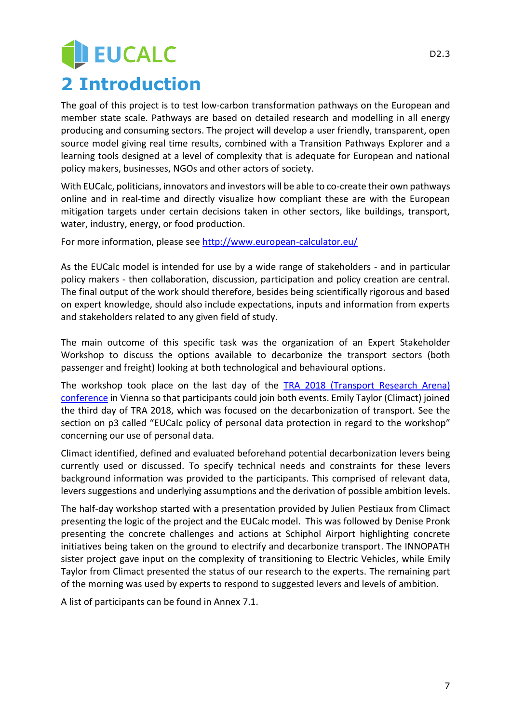# **JEUCALC 2 Introduction**

<span id="page-6-0"></span>The goal of this project is to test low-carbon transformation pathways on the European and member state scale. Pathways are based on detailed research and modelling in all energy producing and consuming sectors. The project will develop a user friendly, transparent, open source model giving real time results, combined with a Transition Pathways Explorer and a learning tools designed at a level of complexity that is adequate for European and national policy makers, businesses, NGOs and other actors of society.

With EUCalc, politicians, innovators and investors will be able to co-create their own pathways online and in real-time and directly visualize how compliant these are with the European mitigation targets under certain decisions taken in other sectors, like buildings, transport, water, industry, energy, or food production.

For more information, please see<http://www.european-calculator.eu/>

As the EUCalc model is intended for use by a wide range of stakeholders - and in particular policy makers - then collaboration, discussion, participation and policy creation are central. The final output of the work should therefore, besides being scientifically rigorous and based on expert knowledge, should also include expectations, inputs and information from experts and stakeholders related to any given field of study.

The main outcome of this specific task was the organization of an Expert Stakeholder Workshop to discuss the options available to decarbonize the transport sectors (both passenger and freight) looking at both technological and behavioural options.

The workshop took place on the last day of the TRA 2018 [\(Transport Research Arena\)](https://www.traconference.eu/)  [conference](https://www.traconference.eu/) in Vienna so that participants could join both events. Emily Taylor (Climact) joined the third day of TRA 2018, which was focused on the decarbonization of transport. See the section on [p3](#page-2-0) called "EUCalc policy of personal data protection in regard to the workshop" concerning our use of personal data.

Climact identified, defined and evaluated beforehand potential decarbonization levers being currently used or discussed. To specify technical needs and constraints for these levers background information was provided to the participants. This comprised of relevant data, levers suggestions and underlying assumptions and the derivation of possible ambition levels.

The half-day workshop started with a presentation provided by Julien Pestiaux from Climact presenting the logic of the project and the EUCalc model. This was followed by Denise Pronk presenting the concrete challenges and actions at Schiphol Airport highlighting concrete initiatives being taken on the ground to electrify and decarbonize transport. The INNOPATH sister project gave input on the complexity of transitioning to Electric Vehicles, while Emily Taylor from Climact presented the status of our research to the experts. The remaining part of the morning was used by experts to respond to suggested levers and levels of ambition.

A list of participants can be found in Annex 7.1.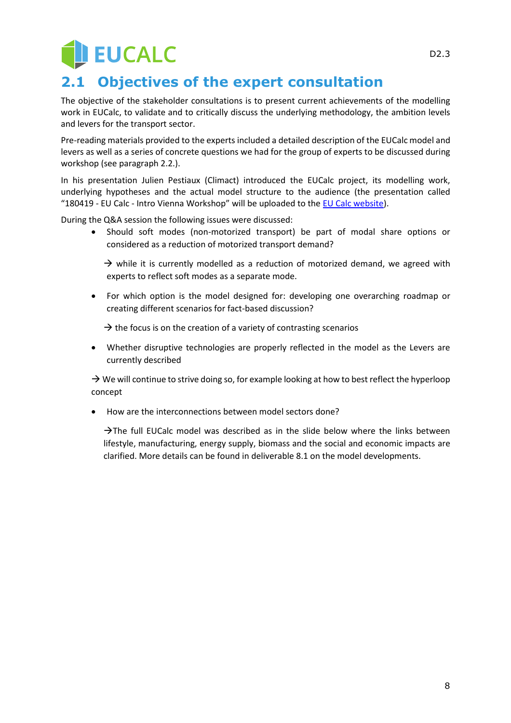# **EUCALC**

## <span id="page-7-0"></span>**2.1 Objectives of the expert consultation**

The objective of the stakeholder consultations is to present current achievements of the modelling work in EUCalc, to validate and to critically discuss the underlying methodology, the ambition levels and levers for the transport sector.

Pre-reading materials provided to the experts included a detailed description of the EUCalc model and levers as well as a series of concrete questions we had for the group of experts to be discussed during workshop (see paragraph 2.2.).

In his presentation Julien Pestiaux (Climact) introduced the EUCalc project, its modelling work, underlying hypotheses and the actual model structure to the audience (the presentation called "180419 - EU Calc - Intro Vienna Workshop" will be uploaded to the [EU Calc website\)](http://www.european-calculator.eu/deliverables-disseminations/).

During the Q&A session the following issues were discussed:

• Should soft modes (non-motorized transport) be part of modal share options or considered as a reduction of motorized transport demand?

 $\rightarrow$  while it is currently modelled as a reduction of motorized demand, we agreed with experts to reflect soft modes as a separate mode.

• For which option is the model designed for: developing one overarching roadmap or creating different scenarios for fact-based discussion?

 $\rightarrow$  the focus is on the creation of a variety of contrasting scenarios

• Whether disruptive technologies are properly reflected in the model as the Levers are currently described

 $\rightarrow$  We will continue to strive doing so, for example looking at how to best reflect the hyperloop concept

• How are the interconnections between model sectors done?

 $\rightarrow$ The full EUCalc model was described as in the slide below where the links between lifestyle, manufacturing, energy supply, biomass and the social and economic impacts are clarified. More details can be found in deliverable 8.1 on the model developments.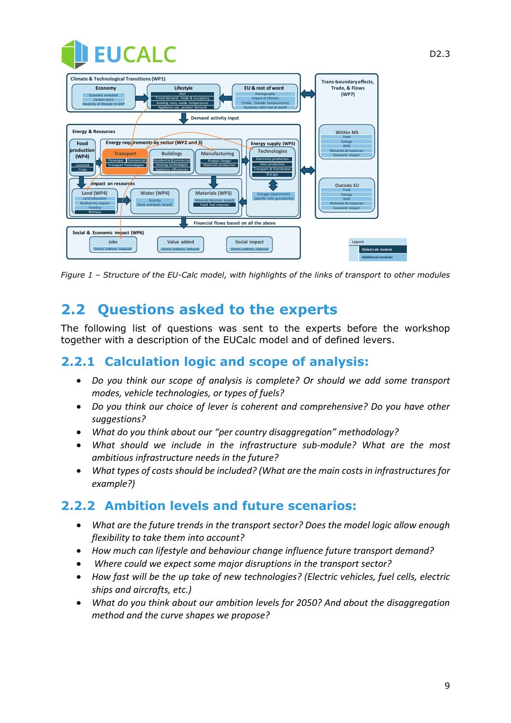| <b>THEUCALC</b>                                                                                                                                                                                                                                                                                                                                                                                                                                                                                                                                                                |                                                                                                            |
|--------------------------------------------------------------------------------------------------------------------------------------------------------------------------------------------------------------------------------------------------------------------------------------------------------------------------------------------------------------------------------------------------------------------------------------------------------------------------------------------------------------------------------------------------------------------------------|------------------------------------------------------------------------------------------------------------|
| <b>Climate &amp; Technological Transitions (WP1)</b><br>EU & rest of word<br>Economy<br>Lifestyle<br>Diet<br>Demography<br>Economy evolution<br>Travel demand, mode & occupancy<br><b>Impact of Climate</b><br>Carbon price<br><b>Building sizes, inside temperature</b><br>(Yields, Outside temperatures)<br>Elasticity of lifestyle to GDP<br>Appliance use, product demand<br>Dynamics with rest of world                                                                                                                                                                   | Trans-boundary effects,<br>Trade, & Flows<br>(WP7)                                                         |
| Demand activity input                                                                                                                                                                                                                                                                                                                                                                                                                                                                                                                                                          |                                                                                                            |
| <b>Energy &amp; Resources</b><br>Energy requirements by sector (WP2 and 3)<br>Food<br>Energy supply (WP5)<br>production<br><b>Technologies</b><br><b>Transport</b><br><b>Buildings</b><br><b>Manufacturing</b><br>(WP4)<br><b>Electricity production</b><br>Residential Commercial<br>Passenger Commercial<br>Product Design<br><b>Heat production</b><br><b>Heating technologies</b><br>Transport Technologies<br>Livestock<br>Materials production<br><b>Transport &amp; Distribution</b><br>Appliance efficiencies<br>Crops<br>Storage<br><i><b>Impact on resources</b></i> | <b>Within MS</b><br>Food<br>Energy<br><b>GHG</b><br>Materials & resources<br>Economic impact<br>Outside EU |
| Water (WP4)<br><b>Materials (WP3)</b><br>Land (WP4)<br>Storage requirements<br>Land allocation<br>(specific time granularity)<br>Minerals (location based)<br>Scarcity<br><b>Biodiversity impact</b><br>Fossil fuel reserves<br>(time and basin based)<br>Forestry<br><b>Biomass</b>                                                                                                                                                                                                                                                                                           | Food<br>Energy<br><b>GHG</b><br>Materials & resources<br>Economic impact                                   |
| Financial flows based on all the above                                                                                                                                                                                                                                                                                                                                                                                                                                                                                                                                         |                                                                                                            |
| Social & Economic impact (WP6)<br>Value added<br>Jobs<br>Social impact<br>Direct, Indirect, Induced<br>Direct, Indirect, Induced<br>Direct, Indirect, Induced                                                                                                                                                                                                                                                                                                                                                                                                                  | Legend<br><b>Global calc module</b><br><b>Additional modules</b>                                           |

*Figure 1 – Structure of the EU-Calc model, with highlights of the links of transport to other modules*

## <span id="page-8-0"></span>**2.2 Questions asked to the experts**

The following list of questions was sent to the experts before the workshop together with a description of the EUCalc model and of defined levers.

## <span id="page-8-1"></span>**2.2.1 Calculation logic and scope of analysis:**

- *Do you think our scope of analysis is complete? Or should we add some transport modes, vehicle technologies, or types of fuels?*
- *Do you think our choice of lever is coherent and comprehensive? Do you have other suggestions?*
- *What do you think about our "per country disaggregation" methodology?*
- *What should we include in the infrastructure sub-module? What are the most ambitious infrastructure needs in the future?*
- *What types of costs should be included? (What are the main costs in infrastructures for example?)*

#### <span id="page-8-2"></span>**2.2.2 Ambition levels and future scenarios:**

- *What are the future trends in the transport sector? Does the model logic allow enough flexibility to take them into account?*
- *How much can lifestyle and behaviour change influence future transport demand?*
- *Where could we expect some major disruptions in the transport sector?*
- *How fast will be the up take of new technologies? (Electric vehicles, fuel cells, electric ships and aircrafts, etc.)*
- *What do you think about our ambition levels for 2050? And about the disaggregation method and the curve shapes we propose?*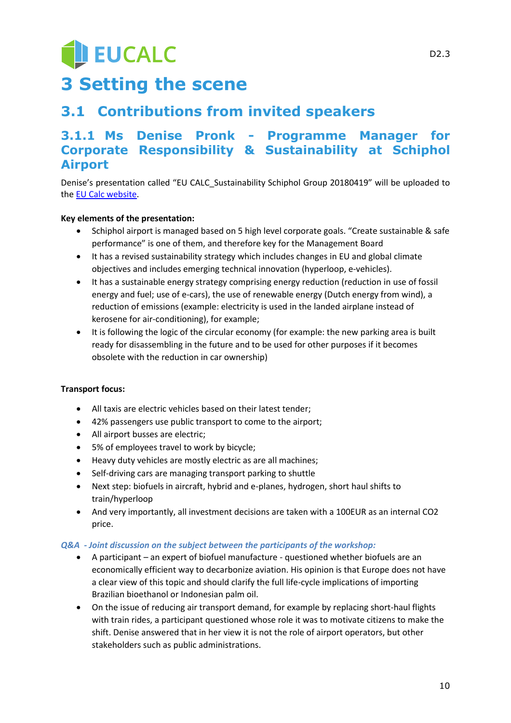# **JEUCALC 3 Setting the scene**

## <span id="page-9-1"></span><span id="page-9-0"></span>**3.1 Contributions from invited speakers**

## <span id="page-9-2"></span>**3.1.1 Ms Denise Pronk - Programme Manager for Corporate Responsibility & Sustainability at Schiphol Airport**

Denise's presentation called "EU CALC\_Sustainability Schiphol Group 20180419" will be uploaded to the [EU Calc website.](http://www.european-calculator.eu/deliverables-disseminations/)

#### **Key elements of the presentation:**

- Schiphol airport is managed based on 5 high level corporate goals. "Create sustainable & safe performance" is one of them, and therefore key for the Management Board
- It has a revised sustainability strategy which includes changes in EU and global climate objectives and includes emerging technical innovation (hyperloop, e-vehicles).
- It has a sustainable energy strategy comprising energy reduction (reduction in use of fossil energy and fuel; use of e-cars), the use of renewable energy (Dutch energy from wind), a reduction of emissions (example: electricity is used in the landed airplane instead of kerosene for air-conditioning), for example;
- It is following the logic of the circular economy (for example: the new parking area is built ready for disassembling in the future and to be used for other purposes if it becomes obsolete with the reduction in car ownership)

#### **Transport focus:**

- All taxis are electric vehicles based on their latest tender;
- 42% passengers use public transport to come to the airport;
- All airport busses are electric;
- 5% of employees travel to work by bicycle;
- Heavy duty vehicles are mostly electric as are all machines;
- Self-driving cars are managing transport parking to shuttle
- Next step: biofuels in aircraft, hybrid and e-planes, hydrogen, short haul shifts to train/hyperloop
- And very importantly, all investment decisions are taken with a 100EUR as an internal CO2 price.

#### *Q&A - Joint discussion on the subject between the participants of the workshop:*

- A participant an expert of biofuel manufacture questioned whether biofuels are an economically efficient way to decarbonize aviation. His opinion is that Europe does not have a clear view of this topic and should clarify the full life-cycle implications of importing Brazilian bioethanol or Indonesian palm oil.
- On the issue of reducing air transport demand, for example by replacing short-haul flights with train rides, a participant questioned whose role it was to motivate citizens to make the shift. Denise answered that in her view it is not the role of airport operators, but other stakeholders such as public administrations.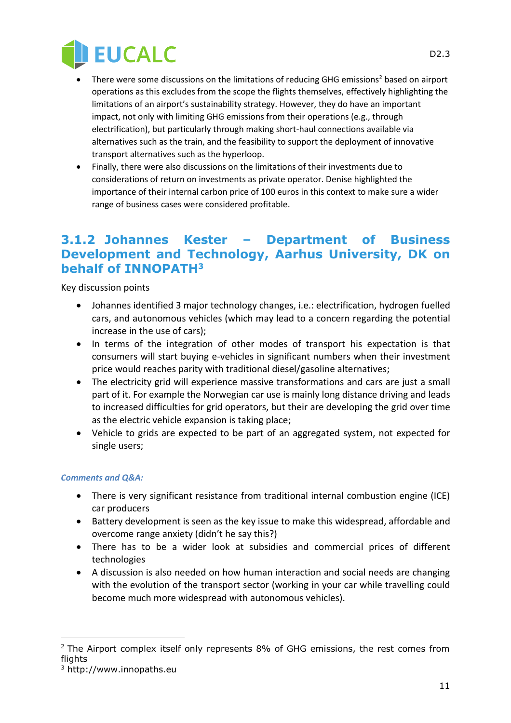

- There were some discussions on the limitations of reducing GHG emissions<sup>2</sup> based on airport operations as this excludes from the scope the flights themselves, effectively highlighting the limitations of an airport's sustainability strategy. However, they do have an important impact, not only with limiting GHG emissions from their operations (e.g., through electrification), but particularly through making short-haul connections available via alternatives such as the train, and the feasibility to support the deployment of innovative transport alternatives such as the hyperloop.
- Finally, there were also discussions on the limitations of their investments due to considerations of return on investments as private operator. Denise highlighted the importance of their internal carbon price of 100 euros in this context to make sure a wider range of business cases were considered profitable.

#### <span id="page-10-0"></span>**3.1.2 Johannes Kester – Department of Business Development and Technology, Aarhus University, DK on behalf of INNOPATH<sup>3</sup>**

Key discussion points

- Johannes identified 3 major technology changes, i.e.: electrification, hydrogen fuelled cars, and autonomous vehicles (which may lead to a concern regarding the potential increase in the use of cars);
- In terms of the integration of other modes of transport his expectation is that consumers will start buying e-vehicles in significant numbers when their investment price would reaches parity with traditional diesel/gasoline alternatives;
- The electricity grid will experience massive transformations and cars are just a small part of it. For example the Norwegian car use is mainly long distance driving and leads to increased difficulties for grid operators, but their are developing the grid over time as the electric vehicle expansion is taking place;
- Vehicle to grids are expected to be part of an aggregated system, not expected for single users;

#### *Comments and Q&A:*

- There is very significant resistance from traditional internal combustion engine (ICE) car producers
- Battery development is seen as the key issue to make this widespread, affordable and overcome range anxiety (didn't he say this?)
- There has to be a wider look at subsidies and commercial prices of different technologies
- A discussion is also needed on how human interaction and social needs are changing with the evolution of the transport sector (working in your car while travelling could become much more widespread with autonomous vehicles).

-

11

 $2$  The Airport complex itself only represents 8% of GHG emissions, the rest comes from flights

<sup>3</sup> http://www.innopaths.eu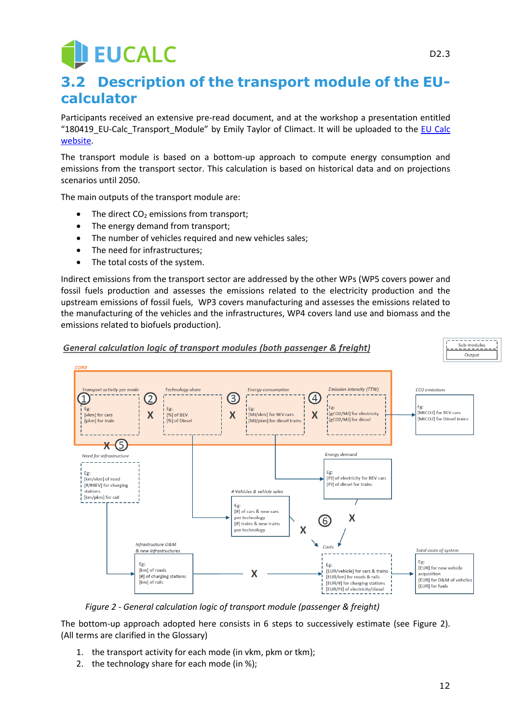# **EUCALC**

## <span id="page-11-0"></span>**3.2 Description of the transport module of the EUcalculator**

Participants received an extensive pre-read document, and at the workshop a presentation entitled "180419\_EU-Calc\_Transport\_Module" by Emily Taylor of Climact. It will be uploaded to the [EU Calc](http://www.european-calculator.eu/deliverables-disseminations/)  [website.](http://www.european-calculator.eu/deliverables-disseminations/)

The transport module is based on a bottom-up approach to compute energy consumption and emissions from the transport sector. This calculation is based on historical data and on projections scenarios until 2050.

The main outputs of the transport module are:

- The direct  $CO<sub>2</sub>$  emissions from transport;
- The energy demand from transport;
- The number of vehicles required and new vehicles sales;
- The need for infrastructures;
- The total costs of the system.

Indirect emissions from the transport sector are addressed by the other WPs (WP5 covers power and fossil fuels production and assesses the emissions related to the electricity production and the upstream emissions of fossil fuels, WP3 covers manufacturing and assesses the emissions related to the manufacturing of the vehicles and the infrastructures, WP4 covers land use and biomass and the emissions related to biofuels production).



*Figure 2 - General calculation logic of transport module (passenger & freight)*

<span id="page-11-1"></span>The bottom-up approach adopted here consists in 6 steps to successively estimate (see [Figure 2\)](#page-11-1). (All terms are clarified in the Glossary)

- 1. the transport activity for each mode (in vkm, pkm or tkm);
- 2. the technology share for each mode (in %);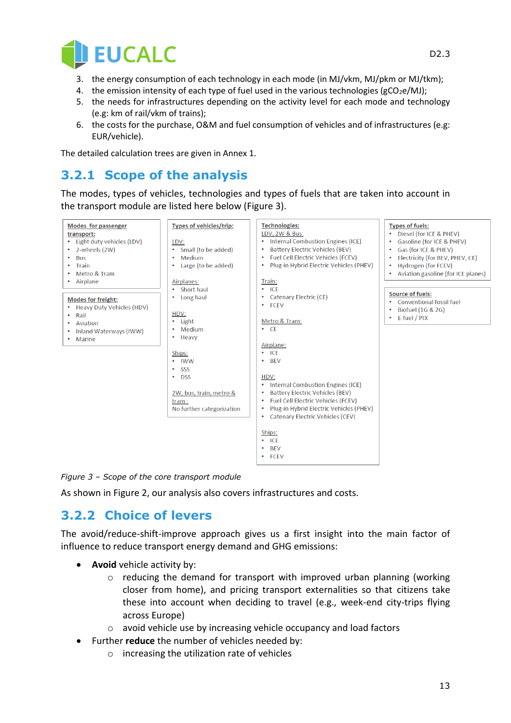

- 3. the energy consumption of each technology in each mode (in MJ/vkm, MJ/pkm or MJ/tkm);
- 4. the emission intensity of each type of fuel used in the various technologies ( $gCO<sub>2</sub>e/MJ$ );
- 5. the needs for infrastructures depending on the activity level for each mode and technology (e.g: km of rail/vkm of trains);
- 6. the costs for the purchase, O&M and fuel consumption of vehicles and of infrastructures (e.g: EUR/vehicle).

The detailed calculation trees are given in Annex 1.

## <span id="page-12-0"></span>**3.2.1 Scope of the analysis**

The modes, types of vehicles, technologies and types of fuels that are taken into account in the transport module are listed here below [\(Figure 3\)](#page-12-2).



<span id="page-12-2"></span>*Figure 3 – Scope of the core transport module*

As shown in [Figure 2,](#page-11-1) our analysis also covers infrastructures and costs.

### <span id="page-12-1"></span>**3.2.2 Choice of levers**

The avoid/reduce-shift-improve approach gives us a first insight into the main factor of influence to reduce transport energy demand and GHG emissions:

- **Avoid** vehicle activity by:
	- o reducing the demand for transport with improved urban planning (working closer from home), and pricing transport externalities so that citizens take these into account when deciding to travel (e.g., week-end city-trips flying across Europe)
	- o avoid vehicle use by increasing vehicle occupancy and load factors
- Further **reduce** the number of vehicles needed by:
	- o increasing the utilization rate of vehicles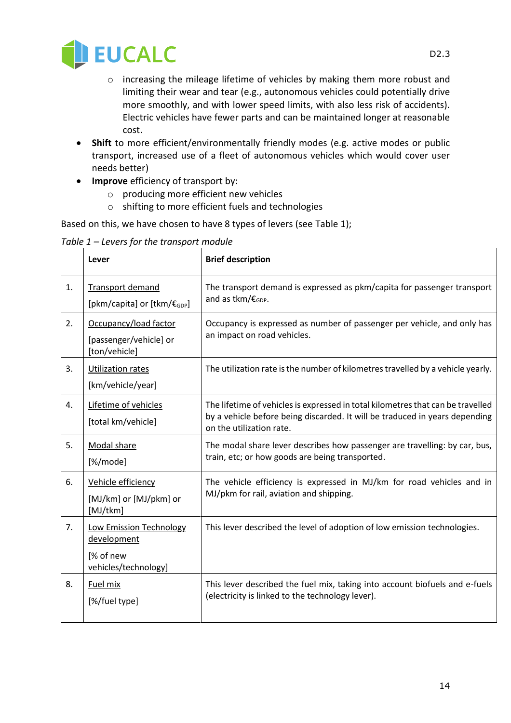

- o increasing the mileage lifetime of vehicles by making them more robust and limiting their wear and tear (e.g., autonomous vehicles could potentially drive more smoothly, and with lower speed limits, with also less risk of accidents). Electric vehicles have fewer parts and can be maintained longer at reasonable cost.
- **Shift** to more efficient/environmentally friendly modes (e.g. active modes or public transport, increased use of a fleet of autonomous vehicles which would cover user needs better)
- **Improve** efficiency of transport by:
	- o producing more efficient new vehicles
	- o shifting to more efficient fuels and technologies

Based on this, we have chosen to have 8 types of levers (see [Table 1\)](#page-13-0);

<span id="page-13-0"></span>*Table 1 – Levers for the transport module*

|    | Lever                                                                       | <b>Brief description</b>                                                                                                                                                                   |
|----|-----------------------------------------------------------------------------|--------------------------------------------------------------------------------------------------------------------------------------------------------------------------------------------|
| 1. | <b>Transport demand</b><br>[pkm/capita] or [tkm/€ <sub>GDP</sub> ]          | The transport demand is expressed as pkm/capita for passenger transport<br>and as tkm/ $\epsilon_{GDP}$ .                                                                                  |
| 2. | Occupancy/load factor<br>[passenger/vehicle] or<br>[ton/vehicle]            | Occupancy is expressed as number of passenger per vehicle, and only has<br>an impact on road vehicles.                                                                                     |
| 3. | Utilization rates<br>[km/vehicle/year]                                      | The utilization rate is the number of kilometres travelled by a vehicle yearly.                                                                                                            |
| 4. | Lifetime of vehicles<br>[total km/vehicle]                                  | The lifetime of vehicles is expressed in total kilometres that can be travelled<br>by a vehicle before being discarded. It will be traduced in years depending<br>on the utilization rate. |
| 5. | Modal share<br>[%/mode]                                                     | The modal share lever describes how passenger are travelling: by car, bus,<br>train, etc; or how goods are being transported.                                                              |
| 6. | Vehicle efficiency<br>[MJ/km] or [MJ/pkm] or<br>[MJ/tkm]                    | The vehicle efficiency is expressed in MJ/km for road vehicles and in<br>MJ/pkm for rail, aviation and shipping.                                                                           |
| 7. | Low Emission Technology<br>development<br>[% of new<br>vehicles/technology] | This lever described the level of adoption of low emission technologies.                                                                                                                   |
| 8. | Fuel mix<br>[%/fuel type]                                                   | This lever described the fuel mix, taking into account biofuels and e-fuels<br>(electricity is linked to the technology lever).                                                            |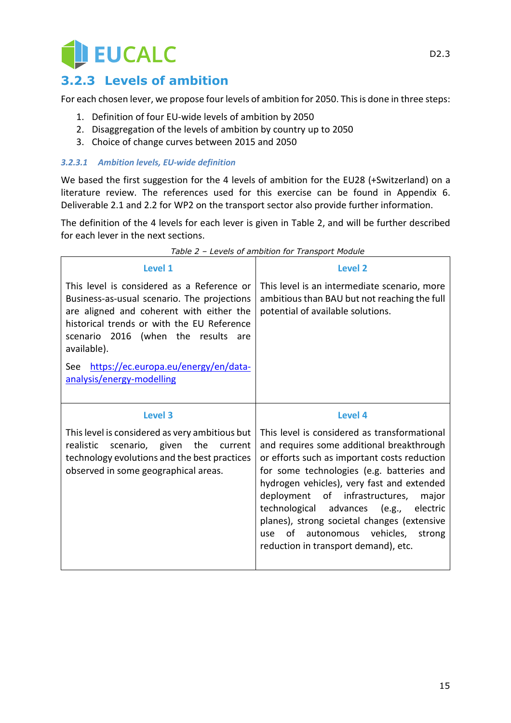

## <span id="page-14-0"></span>**3.2.3 Levels of ambition**

For each chosen lever, we propose four levels of ambition for 2050. This is done in three steps:

- 1. Definition of four EU-wide levels of ambition by 2050
- 2. Disaggregation of the levels of ambition by country up to 2050
- 3. Choice of change curves between 2015 and 2050

#### *3.2.3.1 Ambition levels, EU-wide definition*

We based the first suggestion for the 4 levels of ambition for the EU28 (+Switzerland) on a literature review. The references used for this exercise can be found in Appendix [6.](#page-24-0) Deliverable 2.1 and 2.2 for WP2 on the transport sector also provide further information.

The definition of the 4 levels for each lever is given in [Table 2,](#page-14-1) and will be further described for each lever in the next sections.

<span id="page-14-1"></span>

| <b>Level 1</b>                                                                                                                                                                                                                               | Level 2                                                                                                                                                                                                                                                                                                                                                                                                                                                         |
|----------------------------------------------------------------------------------------------------------------------------------------------------------------------------------------------------------------------------------------------|-----------------------------------------------------------------------------------------------------------------------------------------------------------------------------------------------------------------------------------------------------------------------------------------------------------------------------------------------------------------------------------------------------------------------------------------------------------------|
| This level is considered as a Reference or<br>Business-as-usual scenario. The projections<br>are aligned and coherent with either the<br>historical trends or with the EU Reference<br>scenario 2016 (when the results<br>are<br>available). | This level is an intermediate scenario, more<br>ambitious than BAU but not reaching the full<br>potential of available solutions.                                                                                                                                                                                                                                                                                                                               |
| https://ec.europa.eu/energy/en/data-<br>See<br>analysis/energy-modelling                                                                                                                                                                     |                                                                                                                                                                                                                                                                                                                                                                                                                                                                 |
| <b>Level 3</b>                                                                                                                                                                                                                               | Level 4                                                                                                                                                                                                                                                                                                                                                                                                                                                         |
| This level is considered as very ambitious but<br>realistic scenario, given the current<br>technology evolutions and the best practices<br>observed in some geographical areas.                                                              | This level is considered as transformational<br>and requires some additional breakthrough<br>or efforts such as important costs reduction<br>for some technologies (e.g. batteries and<br>hydrogen vehicles), very fast and extended<br>deployment of infrastructures,<br>major<br>technological advances (e.g.,<br>electric<br>planes), strong societal changes (extensive<br>of autonomous vehicles,<br>strong<br>use<br>reduction in transport demand), etc. |

| Table 2 - Levels of ambition for Transport Module |  |  |
|---------------------------------------------------|--|--|
|                                                   |  |  |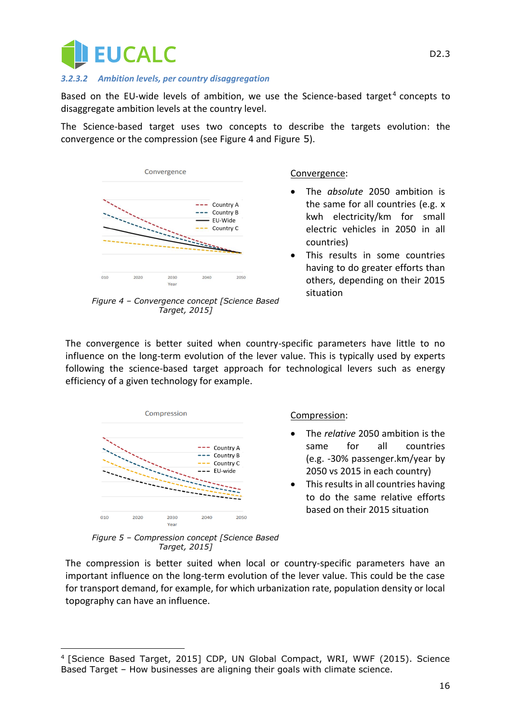

#### *3.2.3.2 Ambition levels, per country disaggregation*

Based on the EU-wide levels of ambition, we use the Science-based target<sup>4</sup> concepts to disaggregate ambition levels at the country level.

The Science-based target uses two concepts to describe the targets evolution: the convergence or the compression (see [Figure 4](#page-15-0) and [Figure](#page-15-1) 5).



<span id="page-15-0"></span>*Figure 4 – Convergence concept [Science Based Target, 2015]*

#### Convergence:

- The *absolute* 2050 ambition is the same for all countries (e.g. x kwh electricity/km for small electric vehicles in 2050 in all countries)
- This results in some countries having to do greater efforts than others, depending on their 2015 situation

The convergence is better suited when country-specific parameters have little to no influence on the long-term evolution of the lever value. This is typically used by experts following the science-based target approach for technological levers such as energy efficiency of a given technology for example.



#### Compression:

- The *relative* 2050 ambition is the same for all countries (e.g. -30% passenger.km/year by 2050 vs 2015 in each country)
- This results in all countries having to do the same relative efforts based on their 2015 situation

<span id="page-15-1"></span>*Figure 5 – Compression concept [Science Based Target, 2015]*

The compression is better suited when local or country-specific parameters have an important influence on the long-term evolution of the lever value. This could be the case for transport demand, for example, for which urbanization rate, population density or local topography can have an influence.

 $\overline{a}$ 4 [Science Based Target, 2015] CDP, UN Global Compact, WRI, WWF (2015). Science Based Target – How businesses are aligning their goals with climate science.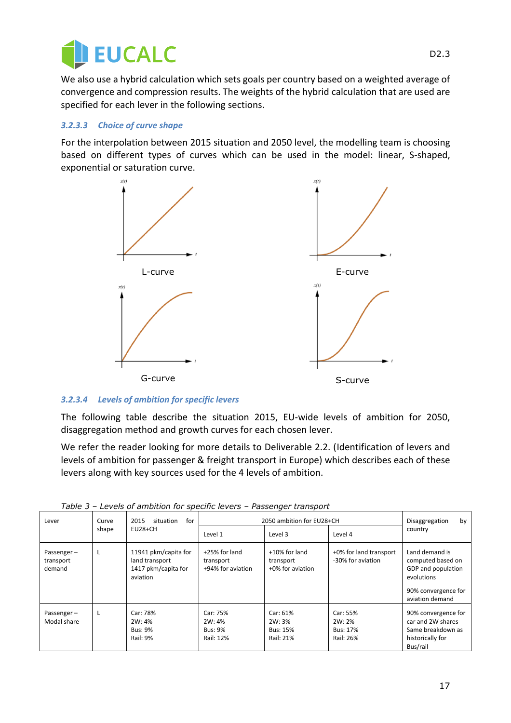

We also use a hybrid calculation which sets goals per country based on a weighted average of convergence and compression results. The weights of the hybrid calculation that are used are specified for each lever in the following sections.

#### *3.2.3.3 Choice of curve shape*

For the interpolation between 2015 situation and 2050 level, the modelling team is choosing based on different types of curves which can be used in the model: linear, S-shaped, exponential or saturation curve.



#### *3.2.3.4 Levels of ambition for specific levers*

The following table describe the situation 2015, EU-wide levels of ambition for 2050, disaggregation method and growth curves for each chosen lever.

We refer the reader looking for more details to Deliverable 2.2. (Identification of levers and levels of ambition for passenger & freight transport in Europe) which describes each of these levers along with key sources used for the 4 levels of ambition.

| Lever                             | Curve | 2015<br>situation<br>for                                                  |                                                   | 2050 ambition for EU28+CH                          |                                                    | Disaggregation<br>by                                                                                              |
|-----------------------------------|-------|---------------------------------------------------------------------------|---------------------------------------------------|----------------------------------------------------|----------------------------------------------------|-------------------------------------------------------------------------------------------------------------------|
|                                   | shape | EU28+CH                                                                   | Level 1                                           | Level 3                                            | Level 4                                            | country                                                                                                           |
| Passenger-<br>transport<br>demand | L     | 11941 pkm/capita for<br>land transport<br>1417 pkm/capita for<br>aviation | +25% for land<br>transport<br>+94% for aviation   | +10% for land<br>transport<br>+0% for aviation     | +0% for land transport<br>-30% for aviation        | Land demand is<br>computed based on<br>GDP and population<br>evolutions<br>90% convergence for<br>aviation demand |
| Passenger-<br>Modal share         | L     | Car: 78%<br>2W: 4%<br><b>Bus: 9%</b><br><b>Rail: 9%</b>                   | Car: 75%<br>2W: 4%<br><b>Bus: 9%</b><br>Rail: 12% | Car: 61%<br>2W: 3%<br><b>Bus: 15%</b><br>Rail: 21% | Car: 55%<br>2W: 2%<br><b>Bus: 17%</b><br>Rail: 26% | 90% convergence for<br>car and 2W shares<br>Same breakdown as<br>historically for<br>Bus/rail                     |

*Table 3 – Levels of ambition for specific levers – Passenger transport*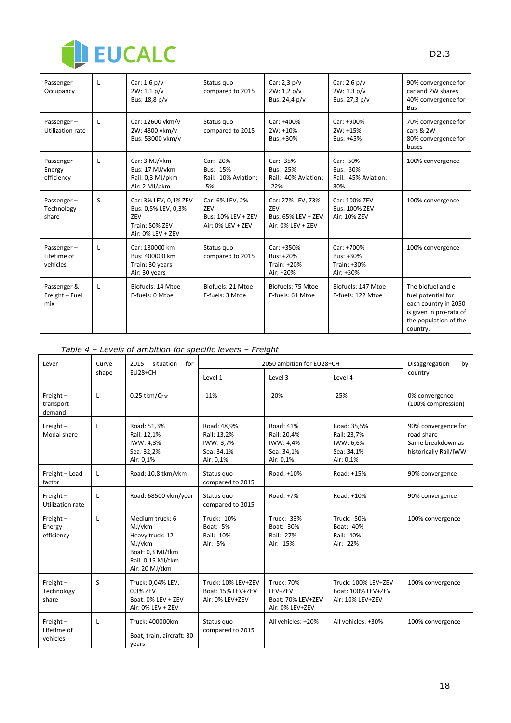

| Passenger -<br>Occupancy              | L            | Car: $1,6$ p/v<br>2W: 1,1 p/v<br>Bus: 18,8 p/v                                             | Status quo<br>compared to 2015                                           | Car: $2,3$ p/v<br>2W: 1, 2 p/v<br>Bus: 24,4 p/v                     | Car: $2,6$ p/v<br>2W: 1, 3 p/v<br>Bus: 27,3 p/v         | 90% convergence for<br>car and 2W shares<br>40% convergence for<br>Bus                                                           |
|---------------------------------------|--------------|--------------------------------------------------------------------------------------------|--------------------------------------------------------------------------|---------------------------------------------------------------------|---------------------------------------------------------|----------------------------------------------------------------------------------------------------------------------------------|
| Passenger-<br>Utilization rate        | $\mathsf{L}$ | Car: 12600 vkm/v<br>2W: 4300 vkm/v<br>Bus: 53000 vkm/v                                     | Status quo<br>compared to 2015                                           | Car: +400%<br>$2W: +10%$<br>Bus: +30%                               | Car: +900%<br>$2W: +15%$<br>Bus: +45%                   | 70% convergence for<br>cars & 2W<br>80% convergence for<br>buses                                                                 |
| Passenger-<br>Energy<br>efficiency    | L            | Car: 3 MJ/vkm<br>Bus: 17 MJ/vkm<br>Rail: 0,3 MJ/pkm<br>Air: 2 MJ/pkm                       | Car: -20%<br><b>Bus: -15%</b><br>Rail: -10% Aviation:<br>$-5%$           | Car: -35%<br>Bus: -25%<br>Rail: -40% Aviation:<br>$-22%$            | Car: -50%<br>Bus: -30%<br>Rail: -45% Aviation: -<br>30% | 100% convergence                                                                                                                 |
| Passenger-<br>Technology<br>share     | S            | Car: 3% LEV, 0,1% ZEV<br>Bus: 0,5% LEV, 0,3%<br>ZEV<br>Train: 50% ZEV<br>Air: 0% LEV + ZEV | Car: 6% LEV, 2%<br>7FV<br><b>Bus: 10% LEV + ZEV</b><br>Air: 0% LEV + ZEV | Car: 27% LEV, 73%<br>ZEV<br>Bus: 65% LEV + ZEV<br>Air: 0% LEV + ZEV | Car: 100% ZEV<br><b>Bus: 100% ZEV</b><br>Air: 10% ZEV   | 100% convergence                                                                                                                 |
| Passenger-<br>Lifetime of<br>vehicles | L            | Car: 180000 km<br>Bus: 400000 km<br>Train: 30 years<br>Air: 30 years                       | Status quo<br>compared to 2015                                           | Car: +350%<br>Bus: +20%<br>Train: +20%<br>Air: +20%                 | Car: +700%<br>Bus: +30%<br>Train: +30%<br>Air: +30%     | 100% convergence                                                                                                                 |
| Passenger &<br>Freight - Fuel<br>mix  | L            | Biofuels: 14 Mtoe<br>E-fuels: 0 Mtoe                                                       | Biofuels: 21 Mtoe<br>E-fuels: 3 Mtoe                                     | Biofuels: 75 Mtoe<br>E-fuels: 61 Mtoe                               | Biofuels: 147 Mtoe<br>E-fuels: 122 Mtoe                 | The biofuel and e-<br>fuel potential for<br>each country in 2050<br>is given in pro-rata of<br>the population of the<br>country. |

#### *Table 4 – Levels of ambition for specific levers – Freight*

| Lever                                  | Curve | 2015<br>situation<br>for                                                                                          |                                                                    | 2050 ambition for EU28+CH                                            |                                                                    | Disaggregation<br>by                                                            |
|----------------------------------------|-------|-------------------------------------------------------------------------------------------------------------------|--------------------------------------------------------------------|----------------------------------------------------------------------|--------------------------------------------------------------------|---------------------------------------------------------------------------------|
|                                        | shape | $EU28+CH$                                                                                                         | Level 1                                                            | Level 3                                                              | Level 4                                                            | country                                                                         |
| Freight $-$<br>transport<br>demand     | L     | 0,25 tkm/ $\epsilon$ <sub>GDP</sub>                                                                               | $-11%$                                                             | $-20%$                                                               | $-25%$                                                             | 0% convergence<br>(100% compression)                                            |
| $Freight -$<br>Modal share             | L     | Road: 51,3%<br>Rail: 12,1%<br>IWW: 4,3%<br>Sea: 32,2%<br>Air: 0,1%                                                | Road: 48,9%<br>Rail: 13,2%<br>IWW: 3.7%<br>Sea: 34,1%<br>Air: 0,1% | Road: 41%<br>Rail: 20,4%<br>IWW: 4,4%<br>Sea: 34,1%<br>Air: 0,1%     | Road: 35,5%<br>Rail: 23,7%<br>IWW: 6,6%<br>Sea: 34,1%<br>Air: 0,1% | 90% convergence for<br>road share<br>Same breakdown as<br>historically Rail/IWW |
| Freight - Load<br>factor               | L     | Road: 10,8 tkm/vkm                                                                                                | Status quo<br>compared to 2015                                     | Road: +10%                                                           | Road: +15%                                                         | 90% convergence                                                                 |
| Freight $-$<br>Utilization rate        | Г     | Road: 68500 vkm/year                                                                                              | Status quo<br>compared to 2015                                     | Road: +7%                                                            | Road: +10%                                                         | 90% convergence                                                                 |
| Freight $-$<br>Energy<br>efficiency    | L     | Medium truck: 6<br>MJ/vkm<br>Heavy truck: 12<br>MJ/vkm<br>Boat: 0,3 MJ/tkm<br>Rail: 0,15 MJ/tkm<br>Air: 20 MJ/tkm | <b>Truck: -10%</b><br>Boat: -5%<br>Rail: -10%<br>Air: -5%          | Truck: -33%<br>Boat: -30%<br>Rail: -27%<br>Air: -15%                 | Truck: -50%<br>Boat: -40%<br>Rail: -40%<br>Air: -22%               | 100% convergence                                                                |
| $Freight -$<br>Technology<br>share     | S     | Truck: 0,04% LEV,<br>0.3% ZEV<br>Boat: 0% LEV + ZEV<br>Air: 0% LEV + ZEV                                          | Truck: 10% LEV+ZEV<br>Boat: 15% LEV+ZEV<br>Air: 0% LEV+ZEV         | <b>Truck: 70%</b><br>LEV+ZEV<br>Boat: 70% LEV+ZEV<br>Air: 0% LEV+ZEV | Truck: 100% LEV+ZEV<br>Boat: 100% LEV+ZEV<br>Air: 10% LEV+ZEV      | 100% convergence                                                                |
| Freight $-$<br>Lifetime of<br>vehicles | L     | Truck: 400000km<br>Boat, train, aircraft: 30<br>years                                                             | Status quo<br>compared to 2015                                     | All vehicles: +20%                                                   | All vehicles: +30%                                                 | 100% convergence                                                                |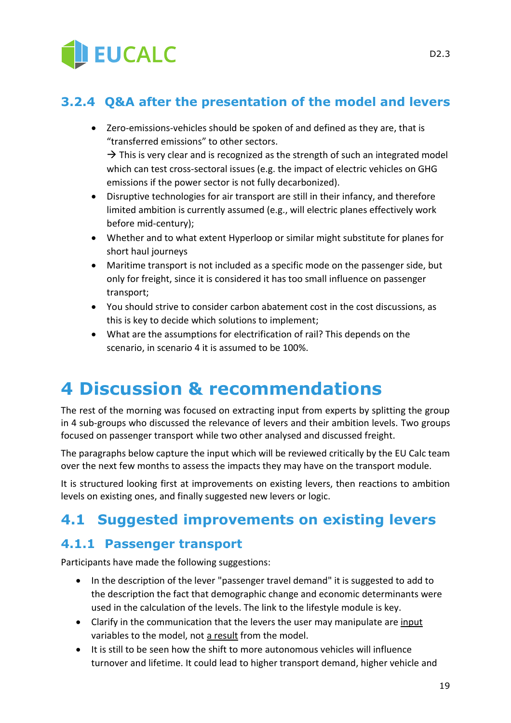

## <span id="page-18-0"></span>**3.2.4 Q&A after the presentation of the model and levers**

• Zero-emissions-vehicles should be spoken of and defined as they are, that is "transferred emissions" to other sectors.

 $\rightarrow$  This is very clear and is recognized as the strength of such an integrated model which can test cross-sectoral issues (e.g. the impact of electric vehicles on GHG emissions if the power sector is not fully decarbonized).

- Disruptive technologies for air transport are still in their infancy, and therefore limited ambition is currently assumed (e.g., will electric planes effectively work before mid-century);
- Whether and to what extent Hyperloop or similar might substitute for planes for short haul journeys
- Maritime transport is not included as a specific mode on the passenger side, but only for freight, since it is considered it has too small influence on passenger transport;
- You should strive to consider carbon abatement cost in the cost discussions, as this is key to decide which solutions to implement;
- What are the assumptions for electrification of rail? This depends on the scenario, in scenario 4 it is assumed to be 100%.

## <span id="page-18-1"></span>**4 Discussion & recommendations**

The rest of the morning was focused on extracting input from experts by splitting the group in 4 sub-groups who discussed the relevance of levers and their ambition levels. Two groups focused on passenger transport while two other analysed and discussed freight.

The paragraphs below capture the input which will be reviewed critically by the EU Calc team over the next few months to assess the impacts they may have on the transport module.

It is structured looking first at improvements on existing levers, then reactions to ambition levels on existing ones, and finally suggested new levers or logic.

## <span id="page-18-2"></span>**4.1 Suggested improvements on existing levers**

#### <span id="page-18-3"></span>**4.1.1 Passenger transport**

Participants have made the following suggestions:

- In the description of the lever "passenger travel demand" it is suggested to add to the description the fact that demographic change and economic determinants were used in the calculation of the levels. The link to the lifestyle module is key.
- Clarify in the communication that the levers the user may manipulate are input variables to the model, not a result from the model.
- It is still to be seen how the shift to more autonomous vehicles will influence turnover and lifetime. It could lead to higher transport demand, higher vehicle and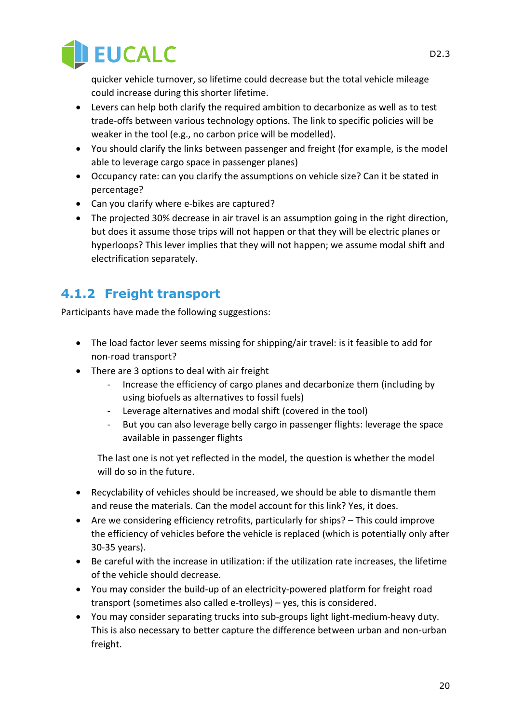

quicker vehicle turnover, so lifetime could decrease but the total vehicle mileage could increase during this shorter lifetime.

- Levers can help both clarify the required ambition to decarbonize as well as to test trade-offs between various technology options. The link to specific policies will be weaker in the tool (e.g., no carbon price will be modelled).
- You should clarify the links between passenger and freight (for example, is the model able to leverage cargo space in passenger planes)
- Occupancy rate: can you clarify the assumptions on vehicle size? Can it be stated in percentage?
- Can you clarify where e-bikes are captured?
- The projected 30% decrease in air travel is an assumption going in the right direction, but does it assume those trips will not happen or that they will be electric planes or hyperloops? This lever implies that they will not happen; we assume modal shift and electrification separately.

## <span id="page-19-0"></span>**4.1.2 Freight transport**

Participants have made the following suggestions:

- The load factor lever seems missing for shipping/air travel: is it feasible to add for non-road transport?
- There are 3 options to deal with air freight
	- Increase the efficiency of cargo planes and decarbonize them (including by using biofuels as alternatives to fossil fuels)
	- Leverage alternatives and modal shift (covered in the tool)
	- But you can also leverage belly cargo in passenger flights: leverage the space available in passenger flights

The last one is not yet reflected in the model, the question is whether the model will do so in the future.

- Recyclability of vehicles should be increased, we should be able to dismantle them and reuse the materials. Can the model account for this link? Yes, it does.
- Are we considering efficiency retrofits, particularly for ships? This could improve the efficiency of vehicles before the vehicle is replaced (which is potentially only after 30-35 years).
- Be careful with the increase in utilization: if the utilization rate increases, the lifetime of the vehicle should decrease.
- You may consider the build-up of an electricity-powered platform for freight road transport (sometimes also called e-trolleys) – yes, this is considered.
- You may consider separating trucks into sub-groups light light-medium-heavy duty. This is also necessary to better capture the difference between urban and non-urban freight.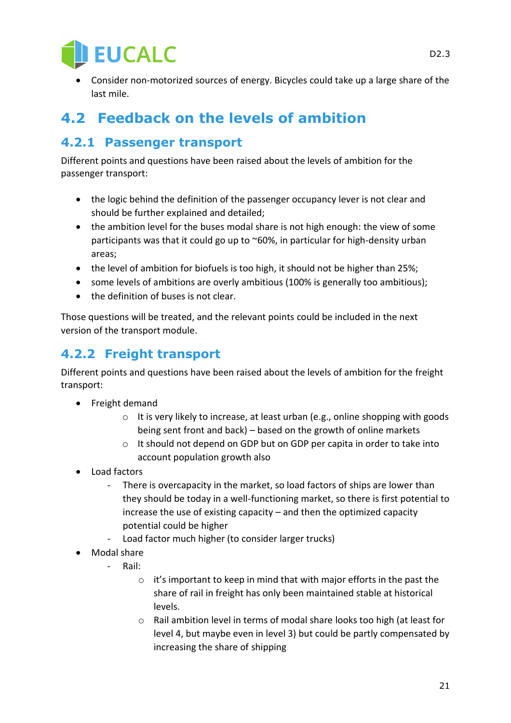

• Consider non-motorized sources of energy. Bicycles could take up a large share of the last mile.

## <span id="page-20-0"></span>**4.2 Feedback on the levels of ambition**

## <span id="page-20-1"></span>**4.2.1 Passenger transport**

Different points and questions have been raised about the levels of ambition for the passenger transport:

- the logic behind the definition of the passenger occupancy lever is not clear and should be further explained and detailed;
- the ambition level for the buses modal share is not high enough: the view of some participants was that it could go up to ~60%, in particular for high-density urban areas;
- the level of ambition for biofuels is too high, it should not be higher than 25%;
- some levels of ambitions are overly ambitious (100% is generally too ambitious);
- the definition of buses is not clear.

Those questions will be treated, and the relevant points could be included in the next version of the transport module.

## <span id="page-20-2"></span>**4.2.2 Freight transport**

Different points and questions have been raised about the levels of ambition for the freight transport:

- Freight demand
	- $\circ$  It is very likely to increase, at least urban (e.g., online shopping with goods being sent front and back) – based on the growth of online markets
	- o It should not depend on GDP but on GDP per capita in order to take into account population growth also
- Load factors
	- There is overcapacity in the market, so load factors of ships are lower than they should be today in a well-functioning market, so there is first potential to increase the use of existing capacity – and then the optimized capacity potential could be higher
	- Load factor much higher (to consider larger trucks)
- Modal share
	- Rail:
		- o it's important to keep in mind that with major efforts in the past the share of rail in freight has only been maintained stable at historical levels.
		- o Rail ambition level in terms of modal share looks too high (at least for level 4, but maybe even in level 3) but could be partly compensated by increasing the share of shipping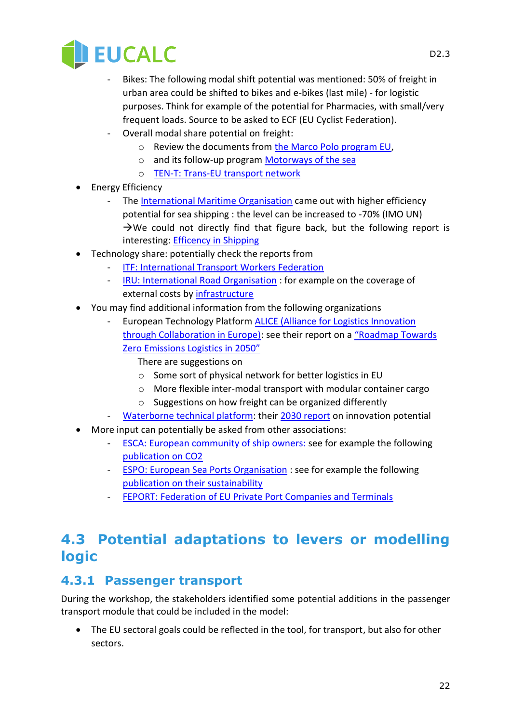

- Bikes: The following modal shift potential was mentioned: 50% of freight in urban area could be shifted to bikes and e-bikes (last mile) - for logistic purposes. Think for example of the potential for Pharmacies, with small/very frequent loads. Source to be asked to ECF (EU Cyclist Federation).
- Overall modal share potential on freight:
	- o Review the documents from [the Marco Polo program EU,](https://ec.europa.eu/transport/marcopolo/about/index_en.htm)
	- o and its follow-up program [Motorways of the sea](https://ec.europa.eu/transport/modes/maritime/motorways_sea_en)
	- o [TEN-T: Trans-EU transport network](https://ec.europa.eu/transport/themes/infrastructure_en)
- Energy Efficiency
	- Th[e International Maritime Organisation](http://www.imo.org/en/MediaCentre/HotTopics/GHG/Pages/default.aspx) came out with higher efficiency potential for sea shipping : the level can be increased to -70% (IMO UN)  $\rightarrow$ We could not directly find that figure back, but the following report is interesting: [Efficency in Shipping](https://www.lighthouse.nu/news/102017/many-new-ships-already-exceed-imo%E2%80%99s-post-2025-energy-efficiency-requirement)
- Technology share: potentially check the reports from
	- **ITF: International Transport Workers Federation**
	- [IRU: International Road Organisation](https://www.iru.org/who-we-are) : for example on the coverage of external costs by infrastructure
- You may find additional information from the following organizations
	- European Technology Platform **ALICE** (Alliance for Logistics Innovation [through Collaboration in Europe\):](http://www.etp-logistics.eu/?page_id=29) see their report on a ["Roadmap Towards](http://www.etp-logistics.eu/?page_id=24)  [Zero Emissions Logistics in 2050"](http://www.etp-logistics.eu/?page_id=24)
		- There are suggestions on
		- o Some sort of physical network for better logistics in EU
		- o More flexible inter-modal transport with modular container cargo
		- o Suggestions on how freight can be organized differently
	- Waterborne [technical platform:](https://www.waterborne.eu/about/) their [2030 report](https://www.waterborne.eu/) on innovation potential
- More input can potentially be asked from other associations:
	- [ESCA: European community of ship owners:](http://www.ecsa.eu/) see for example the following [publication on CO2](http://www.ecsa.eu/sites/default/files/publications/2016-05-09%20ECSA%20ETS%20Brochure%20FINAL.pdf)
	- **[ESPO: European Sea Ports Organisation](https://www.espo.be/) : see for example the following** [publication on their sustainability](https://www.espo.be/publications/sustainability-report-2017)
	- [FEPORT: Federation of EU Private Port Companies and Terminals](https://www.feport.eu/)

## <span id="page-21-0"></span>**4.3 Potential adaptations to levers or modelling logic**

### <span id="page-21-1"></span>**4.3.1 Passenger transport**

During the workshop, the stakeholders identified some potential additions in the passenger transport module that could be included in the model:

• The EU sectoral goals could be reflected in the tool, for transport, but also for other sectors.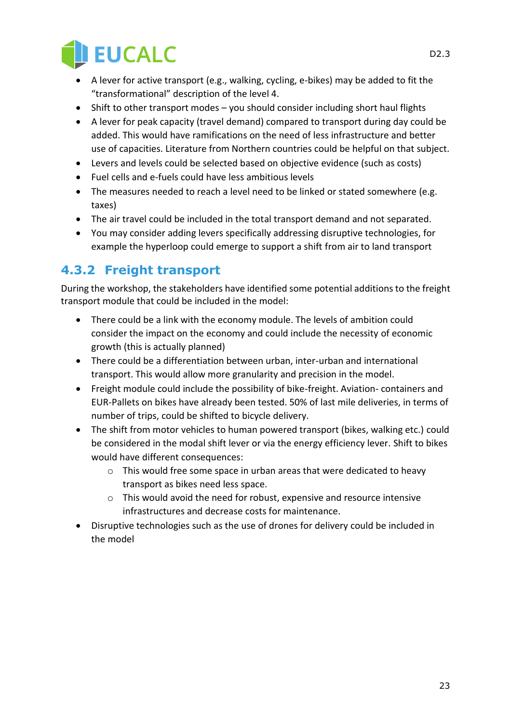

- A lever for active transport (e.g., walking, cycling, e-bikes) may be added to fit the "transformational" description of the level 4.
- Shift to other transport modes you should consider including short haul flights
- A lever for peak capacity (travel demand) compared to transport during day could be added. This would have ramifications on the need of less infrastructure and better use of capacities. Literature from Northern countries could be helpful on that subject.
- Levers and levels could be selected based on objective evidence (such as costs)
- Fuel cells and e-fuels could have less ambitious levels
- The measures needed to reach a level need to be linked or stated somewhere (e.g. taxes)
- The air travel could be included in the total transport demand and not separated.
- You may consider adding levers specifically addressing disruptive technologies, for example the hyperloop could emerge to support a shift from air to land transport

## <span id="page-22-0"></span>**4.3.2 Freight transport**

During the workshop, the stakeholders have identified some potential additions to the freight transport module that could be included in the model:

- There could be a link with the economy module. The levels of ambition could consider the impact on the economy and could include the necessity of economic growth (this is actually planned)
- There could be a differentiation between urban, inter-urban and international transport. This would allow more granularity and precision in the model.
- Freight module could include the possibility of bike-freight. Aviation- containers and EUR-Pallets on bikes have already been tested. 50% of last mile deliveries, in terms of number of trips, could be shifted to bicycle delivery.
- The shift from motor vehicles to human powered transport (bikes, walking etc.) could be considered in the modal shift lever or via the energy efficiency lever. Shift to bikes would have different consequences:
	- o This would free some space in urban areas that were dedicated to heavy transport as bikes need less space.
	- o This would avoid the need for robust, expensive and resource intensive infrastructures and decrease costs for maintenance.
- Disruptive technologies such as the use of drones for delivery could be included in the model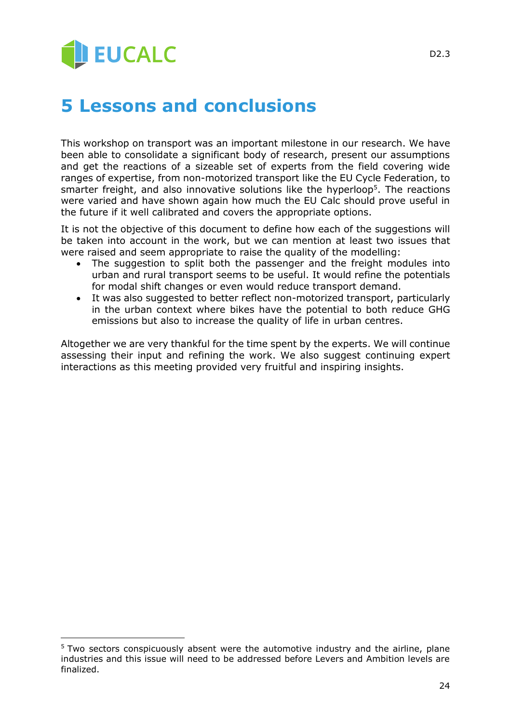# **JEUCALC**

-

## <span id="page-23-0"></span>**5 Lessons and conclusions**

This workshop on transport was an important milestone in our research. We have been able to consolidate a significant body of research, present our assumptions and get the reactions of a sizeable set of experts from the field covering wide ranges of expertise, from non-motorized transport like the EU Cycle Federation, to smarter freight, and also innovative solutions like the hyperloop<sup>5</sup>. The reactions were varied and have shown again how much the EU Calc should prove useful in the future if it well calibrated and covers the appropriate options.

It is not the objective of this document to define how each of the suggestions will be taken into account in the work, but we can mention at least two issues that were raised and seem appropriate to raise the quality of the modelling:

- The suggestion to split both the passenger and the freight modules into urban and rural transport seems to be useful. It would refine the potentials for modal shift changes or even would reduce transport demand.
- It was also suggested to better reflect non-motorized transport, particularly in the urban context where bikes have the potential to both reduce GHG emissions but also to increase the quality of life in urban centres.

Altogether we are very thankful for the time spent by the experts. We will continue assessing their input and refining the work. We also suggest continuing expert interactions as this meeting provided very fruitful and inspiring insights.

<sup>&</sup>lt;sup>5</sup> Two sectors conspicuously absent were the automotive industry and the airline, plane industries and this issue will need to be addressed before Levers and Ambition levels are finalized.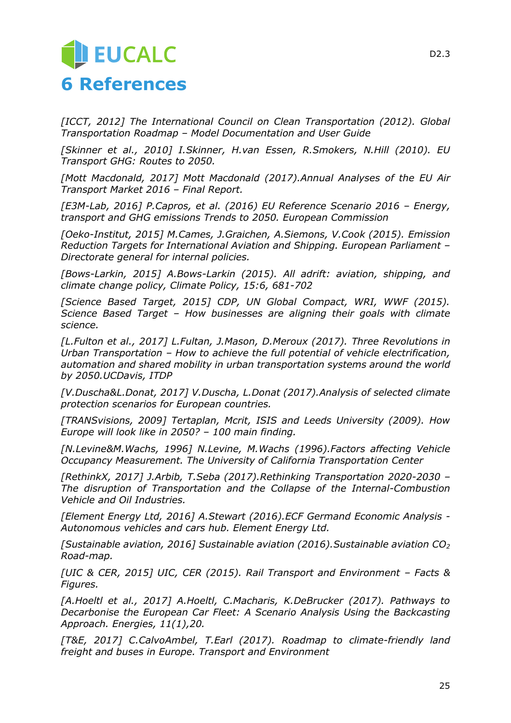## <span id="page-24-0"></span>**JEUCALC 6 References**

*[ICCT, 2012] The International Council on Clean Transportation (2012). Global Transportation Roadmap – Model Documentation and User Guide*

*[Skinner et al., 2010] I.Skinner, H.van Essen, R.Smokers, N.Hill (2010). EU Transport GHG: Routes to 2050.*

*[Mott Macdonald, 2017] Mott Macdonald (2017).Annual Analyses of the EU Air Transport Market 2016 – Final Report.*

*[E3M-Lab, 2016] P.Capros, et al. (2016) EU Reference Scenario 2016 – Energy, transport and GHG emissions Trends to 2050. European Commission*

*[Oeko-Institut, 2015] M.Cames, J.Graichen, A.Siemons, V.Cook (2015). Emission Reduction Targets for International Aviation and Shipping. European Parliament – Directorate general for internal policies.*

*[Bows-Larkin, 2015] A.Bows-Larkin (2015). All adrift: aviation, shipping, and climate change policy, Climate Policy, 15:6, 681-702*

*[Science Based Target, 2015] CDP, UN Global Compact, WRI, WWF (2015). Science Based Target – How businesses are aligning their goals with climate science.* 

*[L.Fulton et al., 2017] L.Fultan, J.Mason, D.Meroux (2017). Three Revolutions in Urban Transportation – How to achieve the full potential of vehicle electrification, automation and shared mobility in urban transportation systems around the world by 2050.UCDavis, ITDP*

*[V.Duscha&L.Donat, 2017] V.Duscha, L.Donat (2017).Analysis of selected climate protection scenarios for European countries.*

*[TRANSvisions, 2009] Tertaplan, Mcrit, ISIS and Leeds University (2009). How Europe will look like in 2050? – 100 main finding.* 

*[N.Levine&M.Wachs, 1996] N.Levine, M.Wachs (1996).Factors affecting Vehicle Occupancy Measurement. The University of California Transportation Center*

*[RethinkX, 2017] J.Arbib, T.Seba (2017).Rethinking Transportation 2020-2030 – The disruption of Transportation and the Collapse of the Internal-Combustion Vehicle and Oil Industries.*

*[Element Energy Ltd, 2016] A.Stewart (2016).ECF Germand Economic Analysis - Autonomous vehicles and cars hub. Element Energy Ltd.*

*[Sustainable aviation, 2016] Sustainable aviation (2016).Sustainable aviation CO<sup>2</sup> Road-map.*

*[UIC & CER, 2015] UIC, CER (2015). Rail Transport and Environment - Facts & Figures.*

*[A.Hoeltl et al., 2017] A.Hoeltl, C.Macharis, K.DeBrucker (2017). Pathways to Decarbonise the European Car Fleet: A Scenario Analysis Using the Backcasting Approach. Energies, 11(1),20.*

*[T&E, 2017] C.CalvoAmbel, T.Earl (2017). Roadmap to climate-friendly land freight and buses in Europe. Transport and Environment*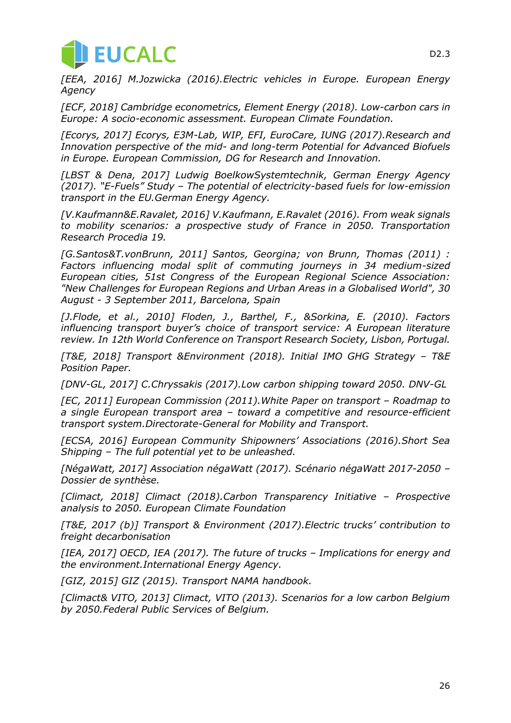

*[EEA, 2016] M.Jozwicka (2016).Electric vehicles in Europe. European Energy Agency*

*[ECF, 2018] Cambridge econometrics, Element Energy (2018). Low-carbon cars in Europe: A socio-economic assessment. European Climate Foundation.*

*[Ecorys, 2017] Ecorys, E3M-Lab, WIP, EFI, EuroCare, IUNG (2017).Research and Innovation perspective of the mid- and long-term Potential for Advanced Biofuels in Europe. European Commission, DG for Research and Innovation.*

*[LBST & Dena, 2017] Ludwig BoelkowSystemtechnik, German Energy Agency (2017). "E-Fuels" Study – The potential of electricity-based fuels for low-emission transport in the EU.German Energy Agency.*

*[V.Kaufmann&E.Ravalet, 2016] V.Kaufmann, E.Ravalet (2016). From weak signals to mobility scenarios: a prospective study of France in 2050. Transportation Research Procedia 19.*

*[G.Santos&T.vonBrunn, 2011] Santos, Georgina; von Brunn, Thomas (2011) : Factors influencing modal split of commuting journeys in 34 medium-sized European cities, 51st Congress of the European Regional Science Association: "New Challenges for European Regions and Urban Areas in a Globalised World", 30 August - 3 September 2011, Barcelona, Spain*

*[J.Flode, et al., 2010] Floden, J., Barthel, F., &Sorkina, E. (2010). Factors influencing transport buyer's choice of transport service: A European literature review. In 12th World Conference on Transport Research Society, Lisbon, Portugal.*

*[T&E, 2018] Transport &Environment (2018). Initial IMO GHG Strategy – T&E Position Paper.* 

*[DNV-GL, 2017] C.Chryssakis (2017).Low carbon shipping toward 2050. DNV-GL*

*[EC, 2011] European Commission (2011).White Paper on transport – Roadmap to a single European transport area – toward a competitive and resource-efficient transport system.Directorate-General for Mobility and Transport.*

*[ECSA, 2016] European Community Shipowners' Associations (2016).Short Sea Shipping – The full potential yet to be unleashed.*

*[NégaWatt, 2017] Association négaWatt (2017). Scénario négaWatt 2017-2050 – Dossier de synthèse.* 

*[Climact, 2018] Climact (2018).Carbon Transparency Initiative – Prospective analysis to 2050. European Climate Foundation*

*[T&E, 2017 (b)] Transport & Environment (2017).Electric trucks' contribution to freight decarbonisation*

*[IEA, 2017] OECD, IEA (2017). The future of trucks – Implications for energy and the environment.International Energy Agency.*

*[GIZ, 2015] GIZ (2015). Transport NAMA handbook.*

*[Climact& VITO, 2013] Climact, VITO (2013). Scenarios for a low carbon Belgium by 2050.Federal Public Services of Belgium.*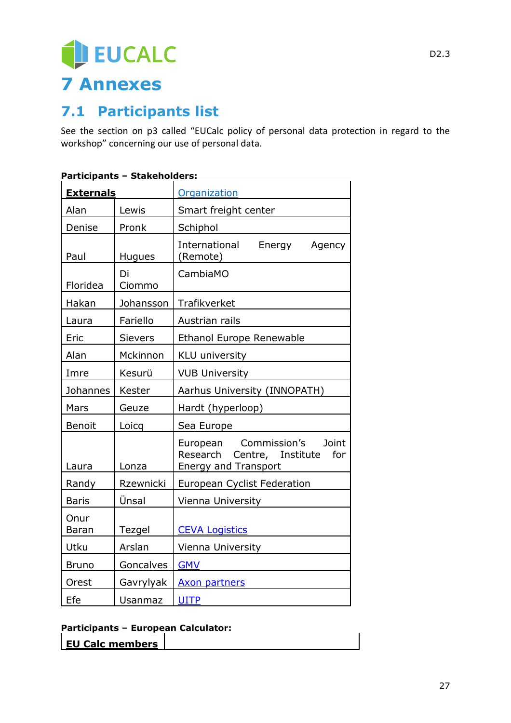# EUCALC **7 Annexes**

## <span id="page-26-1"></span><span id="page-26-0"></span>**7.1 Participants list**

See the section on [p3](#page-2-0) called "EUCalc policy of personal data protection in regard to the workshop" concerning our use of personal data.

| <b>Externals</b>     |                | <b>Organization</b>                                                                                      |
|----------------------|----------------|----------------------------------------------------------------------------------------------------------|
| Alan                 | Lewis          | Smart freight center                                                                                     |
| Denise               | Pronk          | Schiphol                                                                                                 |
| Paul                 | <b>Hugues</b>  | International<br>Energy<br>Agency<br>(Remote)                                                            |
| Floridea             | Di<br>Ciommo   | CambiaMO                                                                                                 |
| Hakan                | Johansson      | Trafikverket                                                                                             |
| Laura                | Fariello       | Austrian rails                                                                                           |
| Eric                 | <b>Sievers</b> | <b>Ethanol Europe Renewable</b>                                                                          |
| Alan                 | Mckinnon       | KLU university                                                                                           |
| Imre                 | Kesurü         | <b>VUB University</b>                                                                                    |
| Johannes             | Kester         | Aarhus University (INNOPATH)                                                                             |
| Mars                 | Geuze          | Hardt (hyperloop)                                                                                        |
| Benoit               | Loicq          | Sea Europe                                                                                               |
| Laura                | Lonza          | Commission's<br>Joint<br>European<br>Research<br>Centre, Institute<br>for<br><b>Energy and Transport</b> |
| Randy                | Rzewnicki      | European Cyclist Federation                                                                              |
| <b>Baris</b>         | Ünsal          | Vienna University                                                                                        |
| Onur<br><b>Baran</b> | Tezgel         | <b>CEVA Logistics</b>                                                                                    |
| Utku                 | Arslan         | Vienna University                                                                                        |
| <b>Bruno</b>         | Goncalves      | <b>GMV</b>                                                                                               |
| Orest                | Gavrylyak      | <b>Axon partners</b>                                                                                     |
| Efe                  | Usanmaz        | <b>UITP</b>                                                                                              |

#### **Participants – Stakeholders:**

#### **Participants – European Calculator:**

| EU Calc members |
|-----------------|
|-----------------|